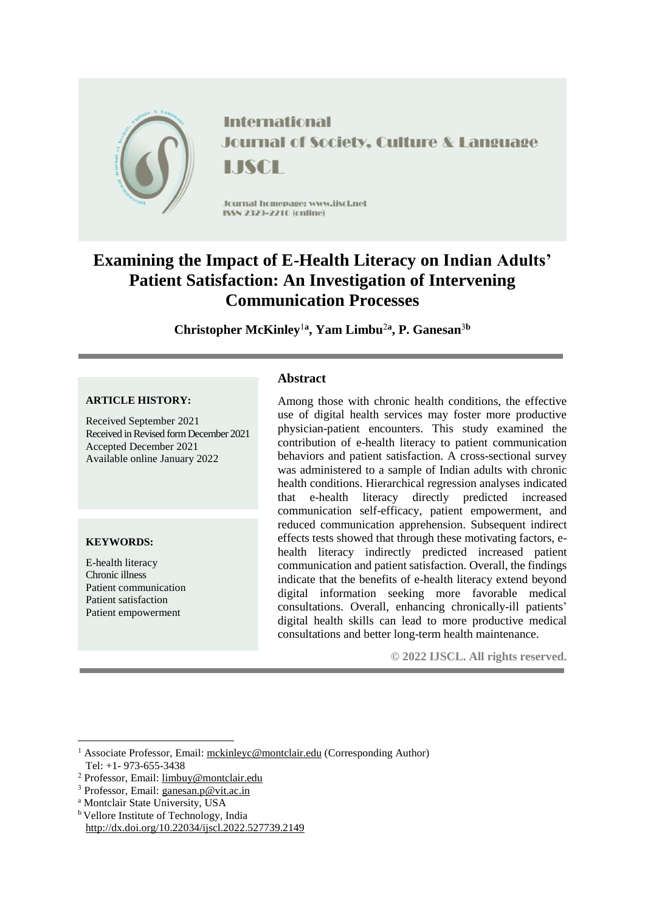

**International Journal of Society, Culture & Language** LISCH

Journal homepage: www.jiscl.net ISSN 2329-2210 (cnline)

# **Examining the Impact of E-Health Literacy on Indian Adults' Patient Satisfaction: An Investigation of Intervening Communication Processes**

**Christopher McKinley**<sup>1</sup>**<sup>a</sup> , Yam Limbu**<sup>2</sup>**<sup>a</sup> , P. Ganesan**<sup>3</sup>**<sup>b</sup>**

#### **ARTICLE HISTORY:**

Received September 2021 Received in Revised form December 2021 Accepted December 2021 Available online January 2022

## **KEYWORDS:**

**.** 

E-health literacy Chronic illness Patient communication Patient satisfaction Patient empowerment

# **Abstract**

Among those with chronic health conditions, the effective use of digital health services may foster more productive physician-patient encounters. This study examined the contribution of e-health literacy to patient communication behaviors and patient satisfaction. A cross-sectional survey was administered to a sample of Indian adults with chronic health conditions. Hierarchical regression analyses indicated that e-health literacy directly predicted increased communication self-efficacy, patient empowerment, and reduced communication apprehension. Subsequent indirect effects tests showed that through these motivating factors, ehealth literacy indirectly predicted increased patient communication and patient satisfaction. Overall, the findings indicate that the benefits of e-health literacy extend beyond digital information seeking more favorable medical consultations. Overall, enhancing chronically-ill patients' digital health skills can lead to more productive medical consultations and better long-term health maintenance.

**© 2022 IJSCL. All rights reserved.**

- <sup>a</sup> Montclair State University, USA
- <sup>b</sup> Vellore Institute of Technology, India <http://dx.doi.org/10.22034/ijscl.2022.527739.2149>

<sup>1</sup> Associate Professor, Email: [mckinleyc@montclair.edu](mailto:mckinleyc@montclair.edu) (Corresponding Author) Tel: +1- 973-655-3438

<sup>2</sup> Professor, Email: limbuy@montclair.edu

<sup>3</sup> Professor, Email: ganesan.p@vit.ac.in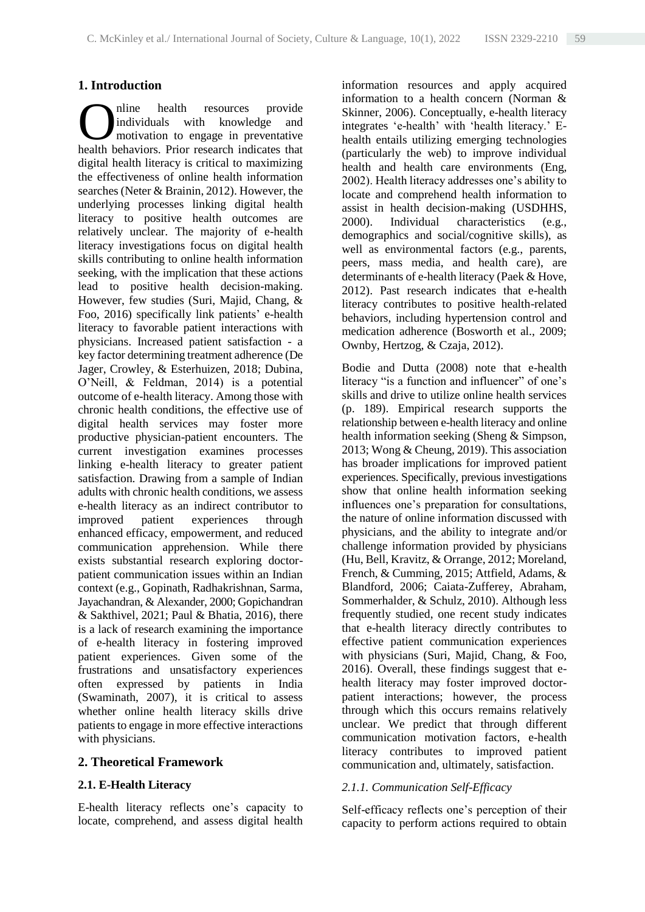# **1. Introduction**

nline health resources provide individuals with knowledge and motivation to engage in preventative **C** individuals with knowledge and motivation to engage in preventative health behaviors. Prior research indicates that digital health literacy is critical to maximizing the effectiveness of online health information searches (Neter & Brainin, 2012). However, the underlying processes linking digital health literacy to positive health outcomes are relatively unclear. The majority of e-health literacy investigations focus on digital health skills contributing to online health information seeking, with the implication that these actions lead to positive health decision-making. However, few studies (Suri, Majid, Chang, & Foo, 2016) specifically link patients' e-health literacy to favorable patient interactions with physicians. Increased patient satisfaction - a key factor determining treatment adherence (De Jager, Crowley, & Esterhuizen, 2018; Dubina, O'Neill, & Feldman, 2014) is a potential outcome of e-health literacy. Among those with chronic health conditions, the effective use of digital health services may foster more productive physician-patient encounters. The current investigation examines processes linking e-health literacy to greater patient satisfaction. Drawing from a sample of Indian adults with chronic health conditions, we assess e-health literacy as an indirect contributor to improved patient experiences through enhanced efficacy, empowerment, and reduced communication apprehension. While there exists substantial research exploring doctorpatient communication issues within an Indian context (e.g., Gopinath, Radhakrishnan, Sarma, Jayachandran, & Alexander, 2000; Gopichandran & Sakthivel, 2021; Paul & Bhatia, 2016), there is a lack of research examining the importance of e-health literacy in fostering improved patient experiences. Given some of the frustrations and unsatisfactory experiences often expressed by patients in India (Swaminath, 2007), it is critical to assess whether online health literacy skills drive patients to engage in more effective interactions with physicians.

#### **2. Theoretical Framework**

## **2.1. E-Health Literacy**

E-health literacy reflects one's capacity to locate, comprehend, and assess digital health information resources and apply acquired information to a health concern (Norman & Skinner, 2006). Conceptually, e-health literacy integrates 'e-health' with 'health literacy.' Ehealth entails utilizing emerging technologies (particularly the web) to improve individual health and health care environments (Eng, 2002). Health literacy addresses one's ability to locate and comprehend health information to assist in health decision-making (USDHHS, 2000). Individual characteristics (e.g., demographics and social/cognitive skills), as well as environmental factors (e.g., parents, peers, mass media, and health care), are determinants of e-health literacy (Paek & Hove, 2012). Past research indicates that e-health literacy contributes to positive health-related behaviors, including hypertension control and medication adherence (Bosworth et al., 2009; Ownby, Hertzog, & Czaja, 2012).

Bodie and Dutta (2008) note that e-health literacy "is a function and influencer" of one's skills and drive to utilize online health services (p. 189). Empirical research supports the relationship between e-health literacy and online health information seeking (Sheng & Simpson, 2013; Wong & Cheung, 2019). This association has broader implications for improved patient experiences. Specifically, previous investigations show that online health information seeking influences one's preparation for consultations, the nature of online information discussed with physicians, and the ability to integrate and/or challenge information provided by physicians (Hu, Bell, Kravitz, & Orrange, 2012; Moreland, French, & Cumming, 2015; Attfield, Adams, & Blandford, 2006; Caiata-Zufferey, Abraham, Sommerhalder, & Schulz, 2010). Although less frequently studied, one recent study indicates that e-health literacy directly contributes to effective patient communication experiences with physicians (Suri, Majid, Chang, & Foo, 2016). Overall, these findings suggest that ehealth literacy may foster improved doctorpatient interactions; however, the process through which this occurs remains relatively unclear. We predict that through different communication motivation factors, e-health literacy contributes to improved patient communication and, ultimately, satisfaction.

#### *2.1.1. Communication Self-Efficacy*

Self-efficacy reflects one's perception of their capacity to perform actions required to obtain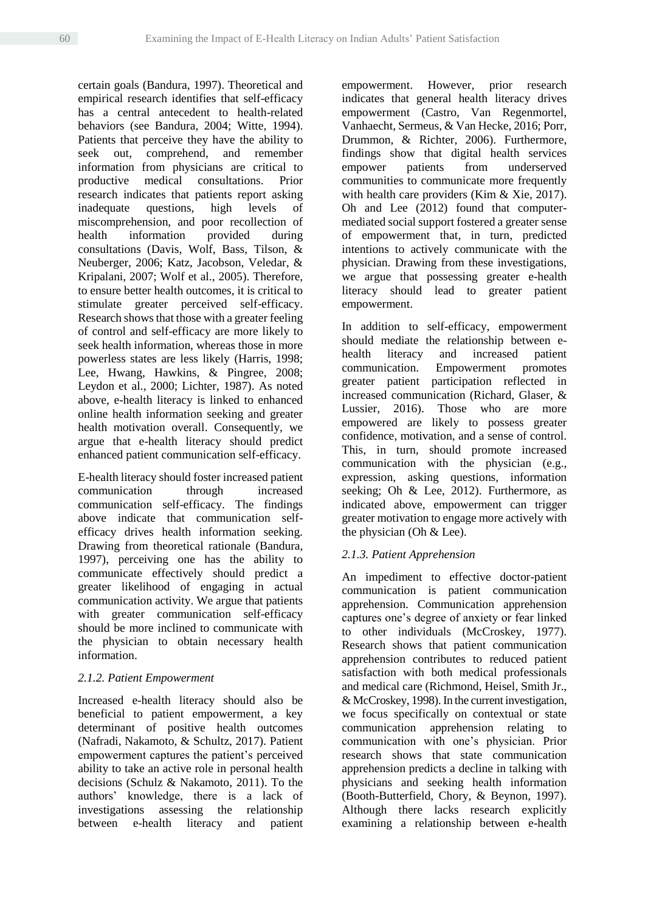certain goals (Bandura, 1997). Theoretical and empirical research identifies that self-efficacy has a central antecedent to health-related behaviors (see Bandura, 2004; Witte, 1994). Patients that perceive they have the ability to seek out, comprehend, and remember information from physicians are critical to productive medical consultations. Prior research indicates that patients report asking inadequate questions, high levels of miscomprehension, and poor recollection of health information provided during consultations (Davis, Wolf, Bass, Tilson, & Neuberger, 2006; Katz, Jacobson, Veledar, & Kripalani, 2007; Wolf et al., 2005). Therefore, to ensure better health outcomes, it is critical to stimulate greater perceived self-efficacy. Research showsthat those with a greater feeling of control and self-efficacy are more likely to seek health information, whereas those in more powerless states are less likely (Harris, 1998; Lee, Hwang, Hawkins, & Pingree, 2008; Leydon et al., 2000; Lichter, 1987). As noted above, e-health literacy is linked to enhanced online health information seeking and greater health motivation overall. Consequently, we argue that e-health literacy should predict enhanced patient communication self-efficacy.

E-health literacy should foster increased patient communication through increased communication self-efficacy. The findings above indicate that communication selfefficacy drives health information seeking. Drawing from theoretical rationale (Bandura, 1997), perceiving one has the ability to communicate effectively should predict a greater likelihood of engaging in actual communication activity. We argue that patients with greater communication self-efficacy should be more inclined to communicate with the physician to obtain necessary health information.

## *2.1.2. Patient Empowerment*

Increased e-health literacy should also be beneficial to patient empowerment, a key determinant of positive health outcomes (Nafradi, Nakamoto, & Schultz, 2017). Patient empowerment captures the patient's perceived ability to take an active role in personal health decisions (Schulz & Nakamoto, 2011). To the authors' knowledge, there is a lack of investigations assessing the relationship between e-health literacy and patient empowerment. However, prior research indicates that general health literacy drives empowerment (Castro, Van Regenmortel, Vanhaecht, Sermeus, & Van Hecke, 2016; Porr, Drummon, & Richter, 2006). Furthermore, findings show that digital health services empower patients from underserved communities to communicate more frequently with health care providers (Kim & Xie, 2017). Oh and Lee (2012) found that computermediated social support fostered a greater sense of empowerment that, in turn, predicted intentions to actively communicate with the physician. Drawing from these investigations, we argue that possessing greater e-health literacy should lead to greater patient empowerment.

In addition to self-efficacy, empowerment should mediate the relationship between ehealth literacy and increased patient communication. Empowerment promotes greater patient participation reflected in increased communication (Richard, Glaser, & Lussier, 2016). Those who are more empowered are likely to possess greater confidence, motivation, and a sense of control. This, in turn, should promote increased communication with the physician (e.g., expression, asking questions, information seeking; Oh & Lee, 2012). Furthermore, as indicated above, empowerment can trigger greater motivation to engage more actively with the physician (Oh & Lee).

# *2.1.3. Patient Apprehension*

An impediment to effective doctor-patient communication is patient communication apprehension. Communication apprehension captures one's degree of anxiety or fear linked to other individuals (McCroskey, 1977). Research shows that patient communication apprehension contributes to reduced patient satisfaction with both medical professionals and medical care (Richmond, Heisel, Smith Jr., & McCroskey, 1998). In the current investigation, we focus specifically on contextual or state communication apprehension relating to communication with one's physician. Prior research shows that state communication apprehension predicts a decline in talking with physicians and seeking health information (Booth-Butterfield, Chory, & Beynon, 1997). Although there lacks research explicitly examining a relationship between e-health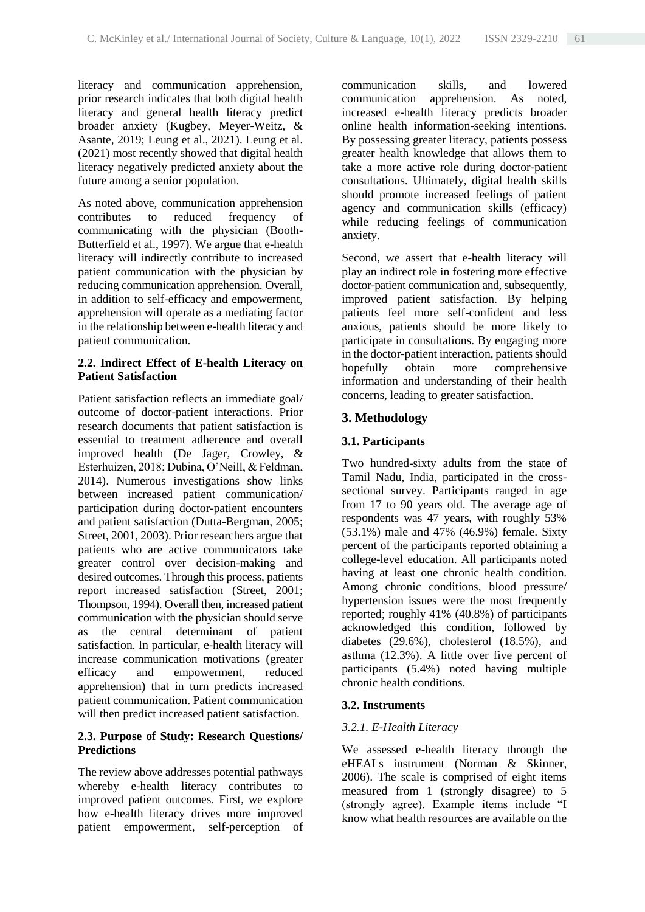literacy and communication apprehension, prior research indicates that both digital health literacy and general health literacy predict broader anxiety (Kugbey, Meyer-Weitz, & Asante, 2019; Leung et al., 2021). Leung et al. (2021) most recently showed that digital health literacy negatively predicted anxiety about the future among a senior population.

As noted above, communication apprehension contributes to reduced frequency of communicating with the physician (Booth-Butterfield et al., 1997). We argue that e-health literacy will indirectly contribute to increased patient communication with the physician by reducing communication apprehension. Overall, in addition to self-efficacy and empowerment, apprehension will operate as a mediating factor in the relationship between e-health literacy and patient communication.

#### **2.2. Indirect Effect of E-health Literacy on Patient Satisfaction**

Patient satisfaction reflects an immediate goal/ outcome of doctor-patient interactions. Prior research documents that patient satisfaction is essential to treatment adherence and overall improved health (De Jager, Crowley, & Esterhuizen, 2018; Dubina, O'Neill, & Feldman, 2014). Numerous investigations show links between increased patient communication/ participation during doctor-patient encounters and patient satisfaction (Dutta-Bergman, 2005; Street, 2001, 2003). Prior researchers argue that patients who are active communicators take greater control over decision-making and desired outcomes. Through this process, patients report increased satisfaction (Street, 2001; Thompson, 1994). Overall then, increased patient communication with the physician should serve as the central determinant of patient satisfaction. In particular, e-health literacy will increase communication motivations (greater efficacy and empowerment, reduced apprehension) that in turn predicts increased patient communication. Patient communication will then predict increased patient satisfaction.

## **2.3. Purpose of Study: Research Questions/ Predictions**

The review above addresses potential pathways whereby e-health literacy contributes to improved patient outcomes. First, we explore how e-health literacy drives more improved patient empowerment, self-perception of communication skills, and lowered communication apprehension. As noted, increased e-health literacy predicts broader online health information-seeking intentions. By possessing greater literacy, patients possess greater health knowledge that allows them to take a more active role during doctor-patient consultations. Ultimately, digital health skills should promote increased feelings of patient agency and communication skills (efficacy) while reducing feelings of communication anxiety.

Second, we assert that e-health literacy will play an indirect role in fostering more effective doctor-patient communication and, subsequently, improved patient satisfaction. By helping patients feel more self-confident and less anxious, patients should be more likely to participate in consultations. By engaging more in the doctor-patient interaction, patients should hopefully obtain more comprehensive information and understanding of their health concerns, leading to greater satisfaction.

# **3. Methodology**

# **3.1. Participants**

Two hundred-sixty adults from the state of Tamil Nadu, India, participated in the crosssectional survey. Participants ranged in age from 17 to 90 years old. The average age of respondents was 47 years, with roughly 53% (53.1%) male and 47% (46.9%) female. Sixty percent of the participants reported obtaining a college-level education. All participants noted having at least one chronic health condition. Among chronic conditions, blood pressure/ hypertension issues were the most frequently reported; roughly 41% (40.8%) of participants acknowledged this condition, followed by diabetes (29.6%), cholesterol (18.5%), and asthma (12.3%). A little over five percent of participants (5.4%) noted having multiple chronic health conditions.

## **3.2. Instruments**

# *3.2.1. E-Health Literacy*

We assessed e-health literacy through the eHEALs instrument (Norman & Skinner, 2006). The scale is comprised of eight items measured from 1 (strongly disagree) to 5 (strongly agree). Example items include "I know what health resources are available on the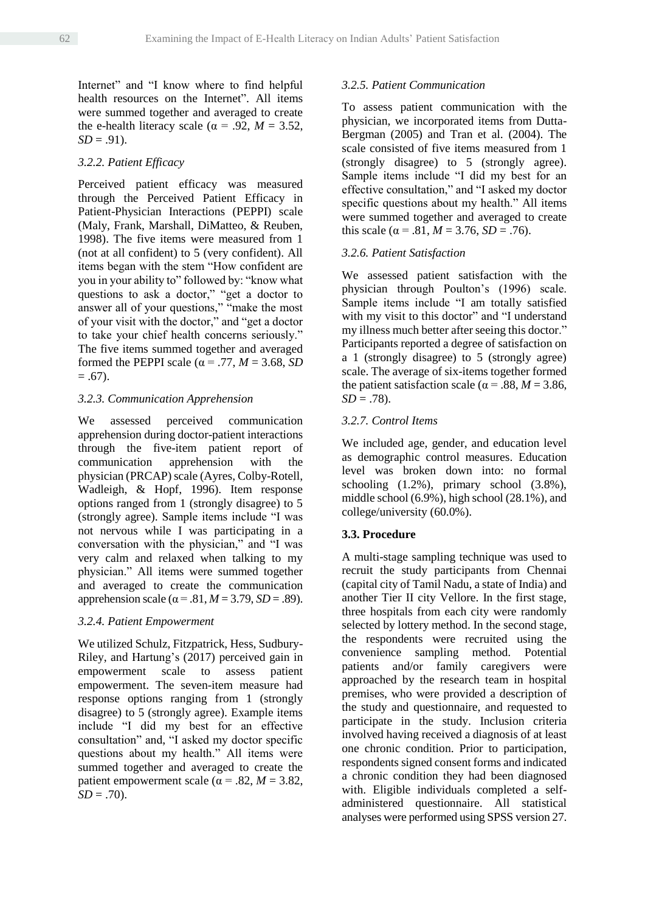Internet" and "I know where to find helpful health resources on the Internet". All items were summed together and averaged to create the e-health literacy scale ( $\alpha$  = .92, *M* = 3.52,  $SD = .91$ .

# *3.2.2. Patient Efficacy*

Perceived patient efficacy was measured through the Perceived Patient Efficacy in Patient-Physician Interactions (PEPPI) scale (Maly, Frank, Marshall, DiMatteo, & Reuben, 1998). The five items were measured from 1 (not at all confident) to 5 (very confident). All items began with the stem "How confident are you in your ability to" followed by: "know what questions to ask a doctor," "get a doctor to answer all of your questions," "make the most of your visit with the doctor," and "get a doctor to take your chief health concerns seriously." The five items summed together and averaged formed the PEPPI scale ( $\alpha$  = .77, *M* = 3.68, *SD*  $= .67$ ).

## *3.2.3. Communication Apprehension*

We assessed perceived communication apprehension during doctor-patient interactions through the five-item patient report of communication apprehension with the physician (PRCAP) scale (Ayres, Colby-Rotell, Wadleigh, & Hopf, 1996). Item response options ranged from 1 (strongly disagree) to 5 (strongly agree). Sample items include "I was not nervous while I was participating in a conversation with the physician," and "I was very calm and relaxed when talking to my physician." All items were summed together and averaged to create the communication apprehension scale ( $\alpha$  = .81, *M* = 3.79, *SD* = .89).

## *3.2.4. Patient Empowerment*

We utilized Schulz, Fitzpatrick, Hess, Sudbury-Riley, and Hartung's (2017) perceived gain in empowerment scale to assess patient empowerment. The seven-item measure had response options ranging from 1 (strongly disagree) to 5 (strongly agree). Example items include "I did my best for an effective consultation" and, "I asked my doctor specific questions about my health." All items were summed together and averaged to create the patient empowerment scale ( $\alpha$  = .82, *M* = 3.82,  $SD = .70$ .

## *3.2.5. Patient Communication*

To assess patient communication with the physician, we incorporated items from Dutta-Bergman (2005) and Tran et al. (2004). The scale consisted of five items measured from 1 (strongly disagree) to 5 (strongly agree). Sample items include "I did my best for an effective consultation," and "I asked my doctor specific questions about my health." All items were summed together and averaged to create this scale ( $\alpha$  = .81,  $M$  = 3.76,  $SD$  = .76).

# *3.2.6. Patient Satisfaction*

We assessed patient satisfaction with the physician through Poulton's (1996) scale. Sample items include "I am totally satisfied with my visit to this doctor" and "I understand my illness much better after seeing this doctor." Participants reported a degree of satisfaction on a 1 (strongly disagree) to 5 (strongly agree) scale. The average of six-items together formed the patient satisfaction scale ( $\alpha$  = .88, *M* = 3.86,  $SD = .78$ ).

# *3.2.7. Control Items*

We included age, gender, and education level as demographic control measures. Education level was broken down into: no formal schooling (1.2%), primary school (3.8%), middle school (6.9%), high school (28.1%), and college/university (60.0%).

## **3.3. Procedure**

A multi-stage sampling technique was used to recruit the study participants from Chennai (capital city of Tamil Nadu, a state of India) and another Tier II city Vellore. In the first stage, three hospitals from each city were randomly selected by lottery method. In the second stage, the respondents were recruited using the convenience sampling method. Potential patients and/or family caregivers were approached by the research team in hospital premises, who were provided a description of the study and questionnaire, and requested to participate in the study. Inclusion criteria involved having received a diagnosis of at least one chronic condition. Prior to participation, respondents signed consent forms and indicated a chronic condition they had been diagnosed with. Eligible individuals completed a selfadministered questionnaire. All statistical analyses were performed using SPSS version 27.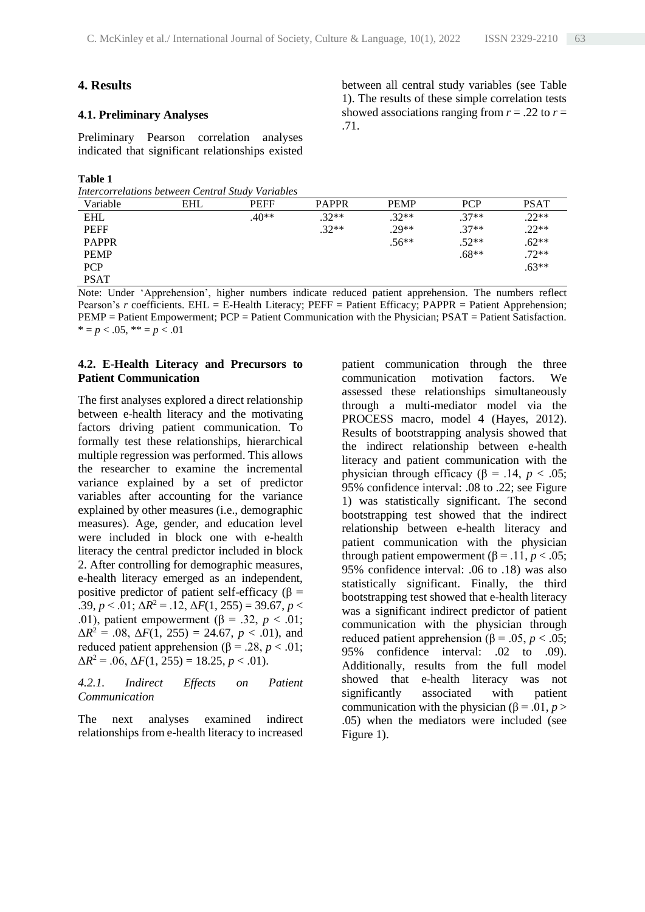## **4. Results**

#### **4.1. Preliminary Analyses**

Preliminary Pearson correlation analyses indicated that significant relationships existed

#### **Table 1**

*Intercorrelations between Central Study Variables*

Variable EHL PEFF PAPPR PEMP PCP PSAT EHL  $.40^{**}$  .32\*\* .32\*\* .37\*\* .22\*\* PEFF .32\*\* .29\*\* .37\*\* .22\*\* **PAPPR** .62\*\* .62\*\* .62\*\* .62\*\* **PEMP** .68\*\* .72\*\* PCP  $\sim$  .63\*\* PSAT

Note: Under 'Apprehension', higher numbers indicate reduced patient apprehension. The numbers reflect Pearson's *r* coefficients. EHL = E-Health Literacy; PEFF = Patient Efficacy; PAPPR = Patient Apprehension; PEMP = Patient Empowerment; PCP = Patient Communication with the Physician; PSAT = Patient Satisfaction.  $* = p < .05, ** = p < .01$ 

#### **4.2. E-Health Literacy and Precursors to Patient Communication**

The first analyses explored a direct relationship between e-health literacy and the motivating factors driving patient communication. To formally test these relationships, hierarchical multiple regression was performed. This allows the researcher to examine the incremental variance explained by a set of predictor variables after accounting for the variance explained by other measures (i.e., demographic measures). Age, gender, and education level were included in block one with e-health literacy the central predictor included in block 2. After controlling for demographic measures, e-health literacy emerged as an independent, positive predictor of patient self-efficacy ( $\beta$  = .39,  $p < .01$ ;  $\Delta R^2 = .12$ ,  $\Delta F(1, 255) = 39.67$ ,  $p <$ .01), patient empowerment ( $\beta$  = .32, *p* < .01;  $\Delta R^2 = .08$ ,  $\Delta F(1, 255) = 24.67$ ,  $p < .01$ ), and reduced patient apprehension  $(β = .28, p < .01)$ ;  $\Delta R^2 = .06$ ,  $\Delta F(1, 255) = 18.25$ ,  $p < .01$ ).

#### *4.2.1. Indirect Effects on Patient Communication*

The next analyses examined indirect relationships from e-health literacy to increased

patient communication through the three communication motivation factors. We assessed these relationships simultaneously through a multi-mediator model via the PROCESS macro, model 4 (Hayes, 2012). Results of bootstrapping analysis showed that the indirect relationship between e-health literacy and patient communication with the physician through efficacy ( $\beta$  = .14, *p* < .05; 95% confidence interval: .08 to .22; see Figure 1) was statistically significant. The second bootstrapping test showed that the indirect relationship between e-health literacy and patient communication with the physician through patient empowerment  $(8 = .11, p < .05)$ ; 95% confidence interval: .06 to .18) was also statistically significant. Finally, the third bootstrapping test showed that e-health literacy was a significant indirect predictor of patient communication with the physician through reduced patient apprehension ( $\beta$  = .05, *p* < .05; 95% confidence interval: .02 to .09). Additionally, results from the full model showed that e-health literacy was not significantly associated with patient communication with the physician ( $\beta$  = .01, *p* > .05) when the mediators were included (see Figure 1).

between all central study variables (see Table 1). The results of these simple correlation tests showed associations ranging from  $r = .22$  to  $r =$ .71.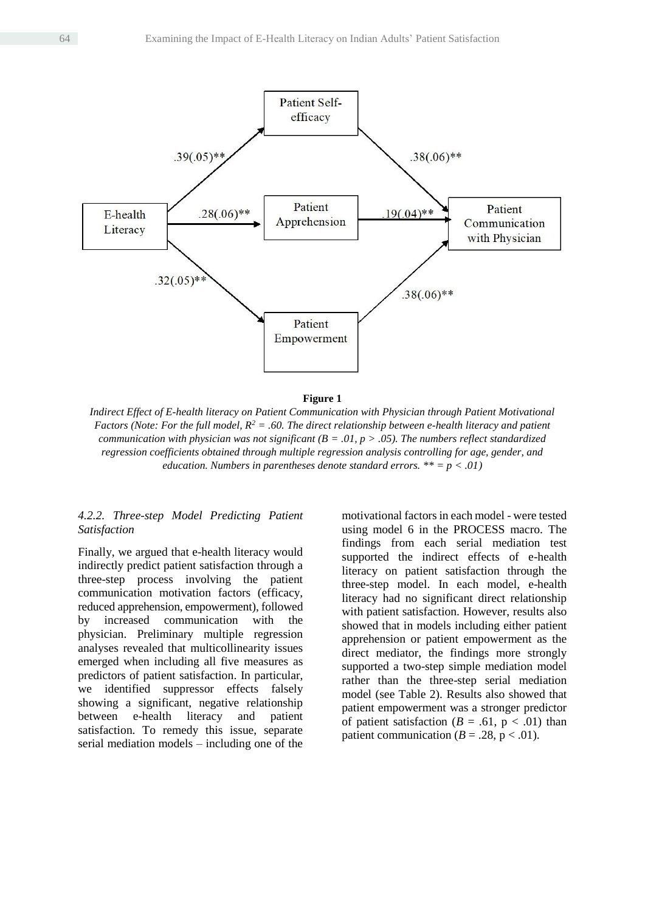

**Figure 1**

*Indirect Effect of E-health literacy on Patient Communication with Physician through Patient Motivational Factors (Note: For the full model, R<sup>2</sup> = .60. The direct relationship between e-health literacy and patient communication with physician was not significant (B = .01, p > .05). The numbers reflect standardized regression coefficients obtained through multiple regression analysis controlling for age, gender, and education. Numbers in parentheses denote standard errors. \*\* = p < .01)*

#### *4.2.2. Three-step Model Predicting Patient Satisfaction*

Finally, we argued that e-health literacy would indirectly predict patient satisfaction through a three-step process involving the patient communication motivation factors (efficacy, reduced apprehension, empowerment), followed by increased communication with the physician. Preliminary multiple regression analyses revealed that multicollinearity issues emerged when including all five measures as predictors of patient satisfaction. In particular, we identified suppressor effects falsely showing a significant, negative relationship between e-health literacy and patient satisfaction. To remedy this issue, separate serial mediation models – including one of the

motivational factors in each model - were tested using model 6 in the PROCESS macro. The findings from each serial mediation test supported the indirect effects of e-health literacy on patient satisfaction through the three-step model. In each model, e-health literacy had no significant direct relationship with patient satisfaction. However, results also showed that in models including either patient apprehension or patient empowerment as the direct mediator, the findings more strongly supported a two-step simple mediation model rather than the three-step serial mediation model (see Table 2). Results also showed that patient empowerment was a stronger predictor of patient satisfaction ( $B = .61$ ,  $p < .01$ ) than patient communication ( $B = .28$ ,  $p < .01$ ).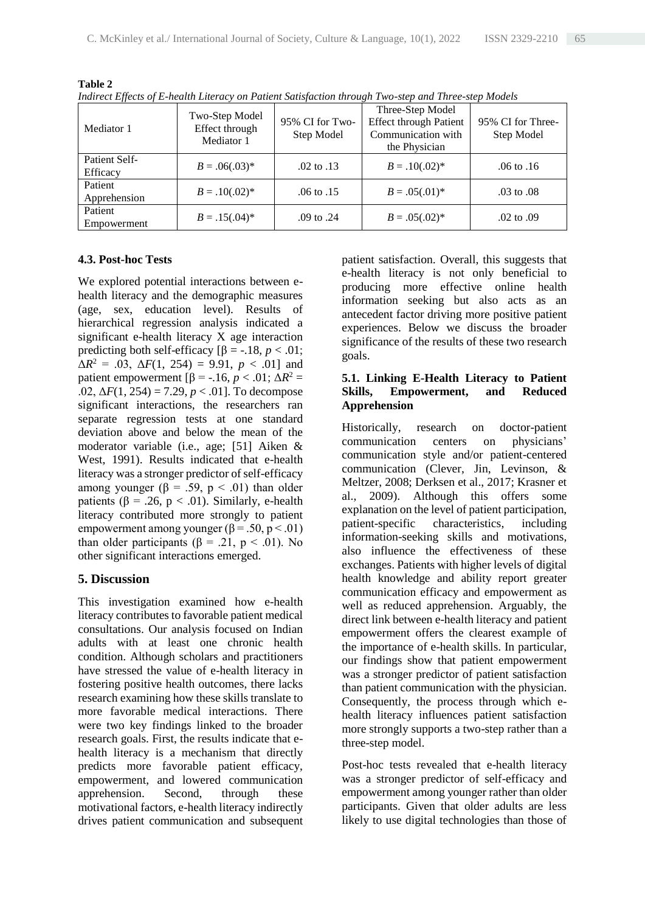| Mediator 1                | Two-Step Model<br>Effect through<br>Mediator 1 | 95% CI for Two-<br>Step Model | Three-Step Model<br><b>Effect through Patient</b><br>Communication with<br>the Physician | 95% CI for Three-<br>Step Model |
|---------------------------|------------------------------------------------|-------------------------------|------------------------------------------------------------------------------------------|---------------------------------|
| Patient Self-<br>Efficacy | $B = .06(.03)*$                                | $.02 \text{ to } .13$         | $B = .10(.02)^*$                                                                         | .06 to .16                      |
| Patient<br>Apprehension   | $B = .10(.02)^*$                               | .06 to .15                    | $B = .05(.01)^*$                                                                         | .03 to .08                      |
| Patient<br>Empowerment    | $B = .15(.04)^*$                               | .09 to .24                    | $B = .05(.02)^*$                                                                         | $.02$ to $.09$                  |

**Table 2** *Indirect Effects of E-health Literacy on Patient Satisfaction through Two-step and Three-step Models*

# **4.3. Post-hoc Tests**

We explored potential interactions between ehealth literacy and the demographic measures (age, sex, education level). Results of hierarchical regression analysis indicated a significant e-health literacy X age interaction predicting both self-efficacy  $\beta$  = -.18, *p* < .01;  $\Delta R^2 = .03$ ,  $\Delta F(1, 254) = 9.91$ ,  $p < .01$ ] and patient empowerment  $[β = -.16, p < .01; ΔR<sup>2</sup> =$ .02,  $\Delta F(1, 254) = 7.29$ ,  $p < .01$ ]. To decompose significant interactions, the researchers ran separate regression tests at one standard deviation above and below the mean of the moderator variable (i.e., age; [51] Aiken & West, 1991). Results indicated that e-health literacy was a stronger predictor of self-efficacy among younger (β = .59, p < .01) than older patients ( $\beta$  = .26, p < .01). Similarly, e-health literacy contributed more strongly to patient empowerment among younger  $(\beta = .50, p < .01)$ than older participants ( $\beta$  = .21, p < .01). No other significant interactions emerged.

# **5. Discussion**

This investigation examined how e-health literacy contributes to favorable patient medical consultations. Our analysis focused on Indian adults with at least one chronic health condition. Although scholars and practitioners have stressed the value of e-health literacy in fostering positive health outcomes, there lacks research examining how these skills translate to more favorable medical interactions. There were two key findings linked to the broader research goals. First, the results indicate that ehealth literacy is a mechanism that directly predicts more favorable patient efficacy, empowerment, and lowered communication apprehension. Second, through these motivational factors, e-health literacy indirectly drives patient communication and subsequent

patient satisfaction. Overall, this suggests that e-health literacy is not only beneficial to producing more effective online health information seeking but also acts as an antecedent factor driving more positive patient experiences. Below we discuss the broader significance of the results of these two research goals.

# **5.1. Linking E-Health Literacy to Patient Skills, Empowerment, and Reduced Apprehension**

Historically, research on doctor-patient communication centers on physicians' communication style and/or patient-centered communication (Clever, Jin, Levinson, & Meltzer, 2008; Derksen et al., 2017; Krasner et al., 2009). Although this offers some explanation on the level of patient participation, patient-specific characteristics, including information-seeking skills and motivations, also influence the effectiveness of these exchanges. Patients with higher levels of digital health knowledge and ability report greater communication efficacy and empowerment as well as reduced apprehension. Arguably, the direct link between e-health literacy and patient empowerment offers the clearest example of the importance of e-health skills. In particular, our findings show that patient empowerment was a stronger predictor of patient satisfaction than patient communication with the physician. Consequently, the process through which ehealth literacy influences patient satisfaction more strongly supports a two-step rather than a three-step model.

Post-hoc tests revealed that e-health literacy was a stronger predictor of self-efficacy and empowerment among younger rather than older participants. Given that older adults are less likely to use digital technologies than those of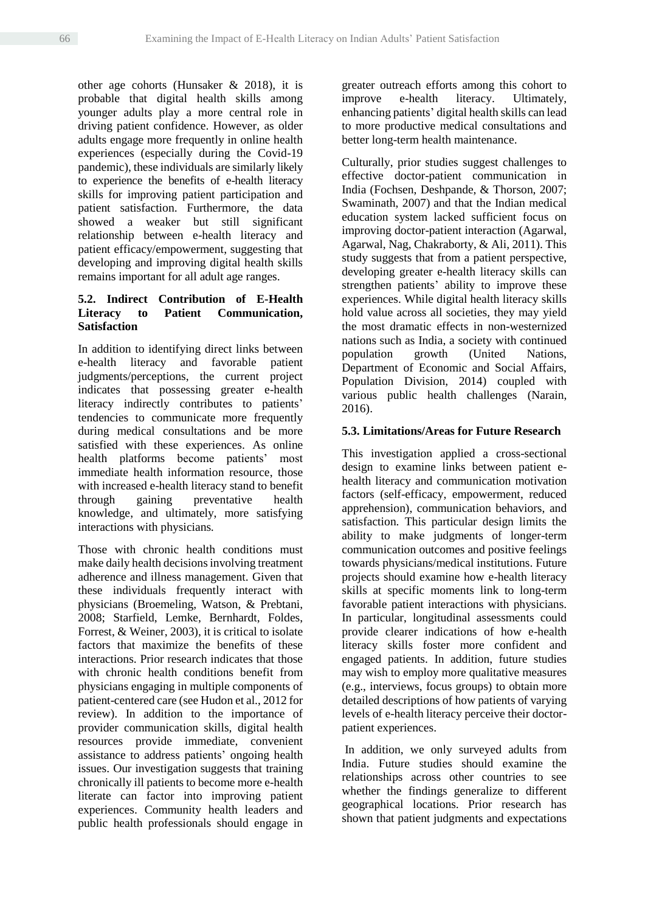other age cohorts (Hunsaker & 2018), it is probable that digital health skills among younger adults play a more central role in driving patient confidence. However, as older adults engage more frequently in online health experiences (especially during the Covid-19 pandemic), these individuals are similarly likely to experience the benefits of e-health literacy skills for improving patient participation and patient satisfaction. Furthermore, the data showed a weaker but still significant relationship between e-health literacy and patient efficacy/empowerment, suggesting that developing and improving digital health skills remains important for all adult age ranges.

## **5.2. Indirect Contribution of E-Health Literacy to Patient Communication, Satisfaction**

In addition to identifying direct links between e-health literacy and favorable patient judgments/perceptions, the current project indicates that possessing greater e-health literacy indirectly contributes to patients' tendencies to communicate more frequently during medical consultations and be more satisfied with these experiences. As online health platforms become patients' most immediate health information resource, those with increased e-health literacy stand to benefit through gaining preventative health knowledge, and ultimately, more satisfying interactions with physicians.

Those with chronic health conditions must make daily health decisions involving treatment adherence and illness management. Given that these individuals frequently interact with physicians (Broemeling, Watson, & Prebtani, 2008; Starfield, Lemke, Bernhardt, Foldes, Forrest, & Weiner, 2003), it is critical to isolate factors that maximize the benefits of these interactions. Prior research indicates that those with chronic health conditions benefit from physicians engaging in multiple components of patient-centered care (see Hudon et al., 2012 for review). In addition to the importance of provider communication skills, digital health resources provide immediate, convenient assistance to address patients' ongoing health issues. Our investigation suggests that training chronically ill patients to become more e-health literate can factor into improving patient experiences. Community health leaders and public health professionals should engage in greater outreach efforts among this cohort to improve e-health literacy. Ultimately, enhancing patients' digital health skills can lead to more productive medical consultations and better long-term health maintenance.

Culturally, prior studies suggest challenges to effective doctor-patient communication in India (Fochsen, Deshpande, & Thorson, 2007; Swaminath, 2007) and that the Indian medical education system lacked sufficient focus on improving doctor-patient interaction (Agarwal, Agarwal, Nag, Chakraborty, & Ali, 2011). This study suggests that from a patient perspective, developing greater e-health literacy skills can strengthen patients' ability to improve these experiences. While digital health literacy skills hold value across all societies, they may yield the most dramatic effects in non-westernized nations such as India, a society with continued population growth (United Nations, Department of Economic and Social Affairs, Population Division, 2014) coupled with various public health challenges (Narain, 2016).

# **5.3. Limitations/Areas for Future Research**

This investigation applied a cross-sectional design to examine links between patient ehealth literacy and communication motivation factors (self-efficacy, empowerment, reduced apprehension), communication behaviors, and satisfaction. This particular design limits the ability to make judgments of longer-term communication outcomes and positive feelings towards physicians/medical institutions. Future projects should examine how e-health literacy skills at specific moments link to long-term favorable patient interactions with physicians. In particular, longitudinal assessments could provide clearer indications of how e-health literacy skills foster more confident and engaged patients. In addition, future studies may wish to employ more qualitative measures (e.g., interviews, focus groups) to obtain more detailed descriptions of how patients of varying levels of e-health literacy perceive their doctorpatient experiences.

In addition, we only surveyed adults from India. Future studies should examine the relationships across other countries to see whether the findings generalize to different geographical locations. Prior research has shown that patient judgments and expectations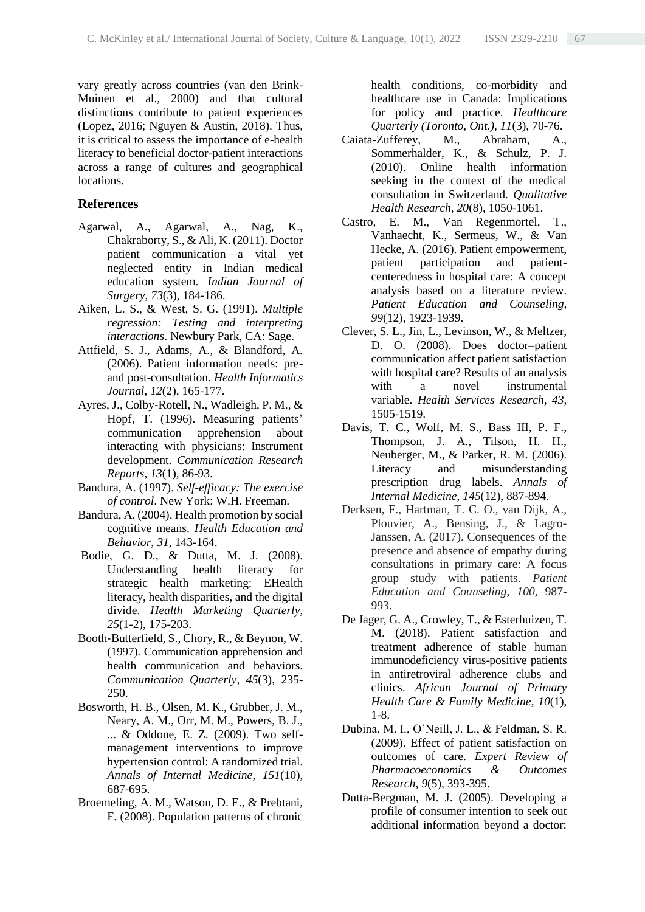vary greatly across countries (van den Brink-Muinen et al., 2000) and that cultural distinctions contribute to patient experiences (Lopez, 2016; Nguyen & Austin, 2018). Thus, it is critical to assess the importance of e-health literacy to beneficial doctor-patient interactions across a range of cultures and geographical locations.

#### **References**

- Agarwal, A., Agarwal, A., Nag, K., Chakraborty, S., & Ali, K. (2011). Doctor patient communication—a vital yet neglected entity in Indian medical education system. *Indian Journal of Surgery*, *73*(3), 184-186.
- Aiken, L. S., & West, S. G. (1991). *Multiple regression: Testing and interpreting interactions*. Newbury Park, CA: Sage.
- Attfield, S. J., Adams, A., & Blandford, A. (2006). Patient information needs: preand post-consultation. *Health Informatics Journal*, *12*(2), 165-177.
- Ayres, J., Colby‐Rotell, N., Wadleigh, P. M., & Hopf, T. (1996). Measuring patients' communication apprehension about interacting with physicians: Instrument development. *Communication Research Reports*, *13*(1), 86-93.
- Bandura, A. (1997). *Self-efficacy: The exercise of control*. New York: W.H. Freeman.
- Bandura, A. (2004). Health promotion by social cognitive means. *Health Education and Behavior*, *31*, 143-164.
- Bodie, G. D., & Dutta, M. J. (2008). Understanding health literacy for strategic health marketing: EHealth literacy, health disparities, and the digital divide. *Health Marketing Quarterly*, *25*(1-2), 175-203.
- Booth‐Butterfield, S., Chory, R., & Beynon, W. (1997). Communication apprehension and health communication and behaviors. *Communication Quarterly*, *45*(3), 235- 250.
- Bosworth, H. B., Olsen, M. K., Grubber, J. M., Neary, A. M., Orr, M. M., Powers, B. J., ... & Oddone, E. Z. (2009). Two selfmanagement interventions to improve hypertension control: A randomized trial. *Annals of Internal Medicine*, *151*(10), 687-695.
- Broemeling, A. M., Watson, D. E., & Prebtani, F. (2008). Population patterns of chronic

health conditions, co-morbidity and healthcare use in Canada: Implications for policy and practice. *Healthcare Quarterly (Toronto, Ont.)*, *11*(3), 70-76.

- Caiata-Zufferey, M., Abraham, A., Sommerhalder, K., & Schulz, P. J. (2010). Online health information seeking in the context of the medical consultation in Switzerland. *Qualitative Health Research*, *20*(8), 1050-1061.
- Castro, E. M., Van Regenmortel, T., Vanhaecht, K., Sermeus, W., & Van Hecke, A. (2016). Patient empowerment, patient participation and patientcenteredness in hospital care: A concept analysis based on a literature review. *Patient Education and Counseling*, *99*(12), 1923-1939.
- Clever, S. L., Jin, L., Levinson, W., & Meltzer, D. O. (2008). Does doctor–patient communication affect patient satisfaction with hospital care? Results of an analysis with a novel instrumental variable. *Health Services Research*, *43*, 1505-1519.
- Davis, T. C., Wolf, M. S., Bass III, P. F., Thompson, J. A., Tilson, H. H., Neuberger, M., & Parker, R. M. (2006). Literacy and misunderstanding prescription drug labels. *Annals of Internal Medicine*, *145*(12), 887-894.
- Derksen, F., Hartman, T. C. O., van Dijk, A., Plouvier, A., Bensing, J., & Lagro-Janssen, A. (2017). Consequences of the presence and absence of empathy during consultations in primary care: A focus group study with patients. *Patient Education and Counseling*, *100*, 987- 993.
- De Jager, G. A., Crowley, T., & Esterhuizen, T. M. (2018). Patient satisfaction and treatment adherence of stable human immunodeficiency virus-positive patients in antiretroviral adherence clubs and clinics. *African Journal of Primary Health Care & Family Medicine*, *10*(1), 1-8.
- Dubina, M. I., O'Neill, J. L., & Feldman, S. R. (2009). Effect of patient satisfaction on outcomes of care. *Expert Review of Pharmacoeconomics & Outcomes Research*, *9*(5), 393-395.
- Dutta-Bergman, M. J. (2005). Developing a profile of consumer intention to seek out additional information beyond a doctor: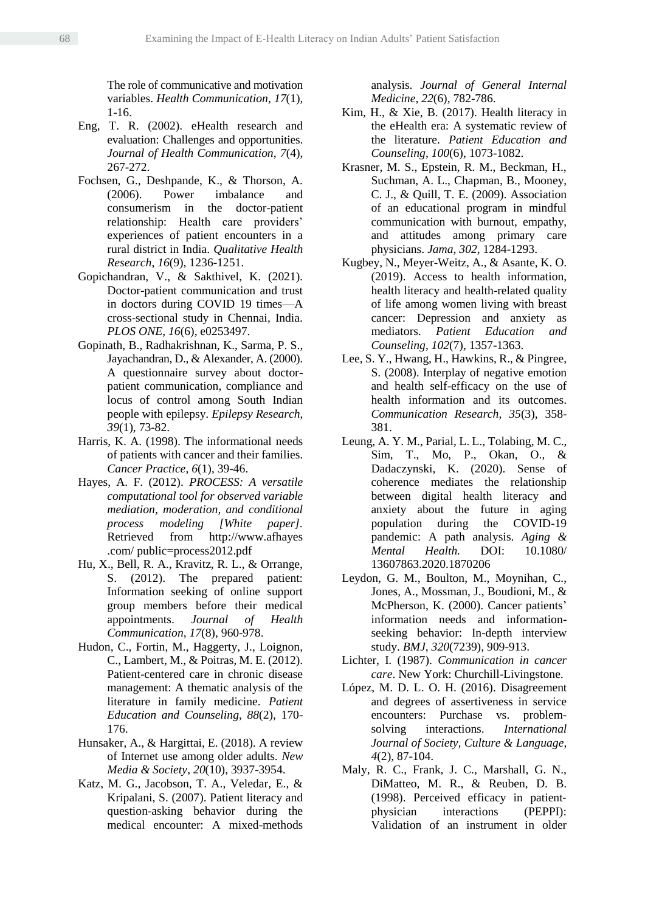The role of communicative and motivation variables. *Health Communication*, *17*(1), 1-16.

- Eng, T. R. (2002). eHealth research and evaluation: Challenges and opportunities. *Journal of Health Communication*, *7*(4), 267-272.
- Fochsen, G., Deshpande, K., & Thorson, A. (2006). Power imbalance and consumerism in the doctor-patient relationship: Health care providers' experiences of patient encounters in a rural district in India. *Qualitative Health Research*, *16*(9), 1236-1251.
- Gopichandran, V., & Sakthivel, K. (2021). Doctor-patient communication and trust in doctors during COVID 19 times—A cross-sectional study in Chennai, India. *PLOS ONE*, *16*(6), e0253497.
- Gopinath, B., Radhakrishnan, K., Sarma, P. S., Jayachandran, D., & Alexander, A. (2000). A questionnaire survey about doctorpatient communication, compliance and locus of control among South Indian people with epilepsy. *Epilepsy Research*, *39*(1), 73-82.
- Harris, K. A. (1998). The informational needs of patients with cancer and their families. *Cancer Practice*, *6*(1), 39-46.
- Hayes, A. F. (2012). *PROCESS: A versatile computational tool for observed variable mediation, moderation, and conditional process modeling [White paper].* Retrieved from http://www.afhayes .com/ public=process2012.pdf
- Hu, X., Bell, R. A., Kravitz, R. L., & Orrange, S. (2012). The prepared patient: Information seeking of online support group members before their medical appointments. *Journal of Health Communication*, *17*(8), 960-978.
- Hudon, C., Fortin, M., Haggerty, J., Loignon, C., Lambert, M., & Poitras, M. E. (2012). Patient-centered care in chronic disease management: A thematic analysis of the literature in family medicine. *Patient Education and Counseling*, *88*(2), 170- 176.
- Hunsaker, A., & Hargittai, E. (2018). A review of Internet use among older adults. *New Media & Society*, *20*(10), 3937-3954.
- Katz, M. G., Jacobson, T. A., Veledar, E., & Kripalani, S. (2007). Patient literacy and question-asking behavior during the medical encounter: A mixed-methods

analysis. *Journal of General Internal Medicine*, *22*(6), 782-786.

- Kim, H., & Xie, B. (2017). Health literacy in the eHealth era: A systematic review of the literature. *Patient Education and Counseling*, *100*(6), 1073-1082.
- Krasner, M. S., Epstein, R. M., Beckman, H., Suchman, A. L., Chapman, B., Mooney, C. J., & Quill, T. E. (2009). Association of an educational program in mindful communication with burnout, empathy, and attitudes among primary care physicians. *Jama*, *302*, 1284-1293.
- Kugbey, N., Meyer-Weitz, A., & Asante, K. O. (2019). Access to health information, health literacy and health-related quality of life among women living with breast cancer: Depression and anxiety as mediators. *Patient Education and Counseling*, *102*(7), 1357-1363.
- Lee, S. Y., Hwang, H., Hawkins, R., & Pingree, S. (2008). Interplay of negative emotion and health self-efficacy on the use of health information and its outcomes. *Communication Research*, *35*(3), 358- 381.
- Leung, A. Y. M., Parial, L. L., Tolabing, M. C., Sim, T., Mo, P., Okan, O., & Dadaczynski, K. (2020). Sense of coherence mediates the relationship between digital health literacy and anxiety about the future in aging population during the COVID-19 pandemic: A path analysis. *Aging & Mental Health.* DOI: 10.1080/ 13607863.2020.1870206
- Leydon, G. M., Boulton, M., Moynihan, C., Jones, A., Mossman, J., Boudioni, M., & McPherson, K. (2000). Cancer patients' information needs and informationseeking behavior: In-depth interview study. *BMJ*, *320*(7239), 909-913.
- Lichter, I. (1987). *Communication in cancer care*. New York: Churchill-Livingstone.
- López, M. D. L. O. H. (2016). Disagreement and degrees of assertiveness in service encounters: Purchase vs. problemsolving interactions. *International Journal of Society, Culture & Language*, *4*(2), 87-104.
- Maly, R. C., Frank, J. C., Marshall, G. N., DiMatteo, M. R., & Reuben, D. B. (1998). Perceived efficacy in patient‐ physician interactions (PEPPI): Validation of an instrument in older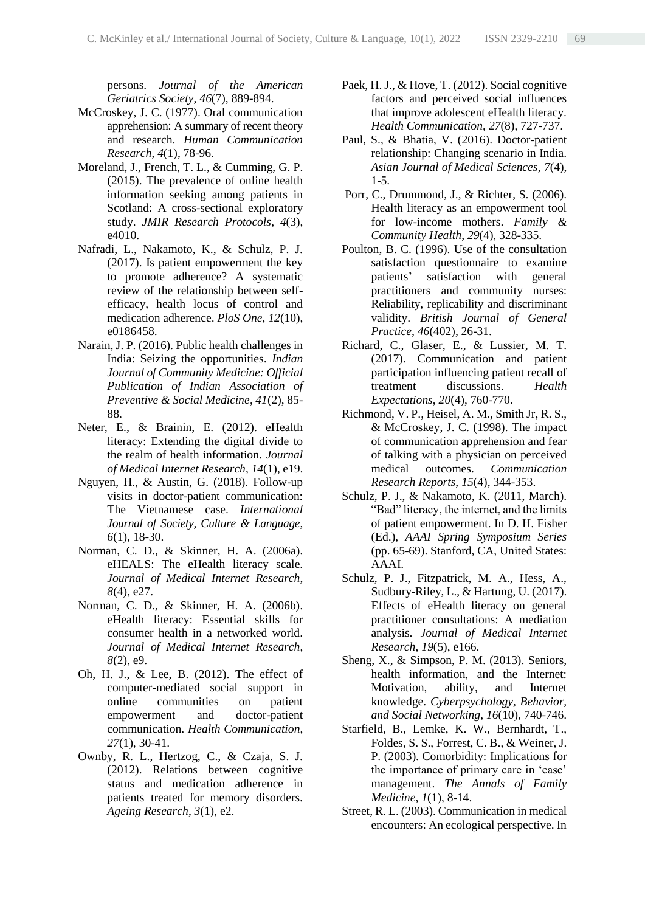persons. *Journal of the American Geriatrics Society*, *46*(7), 889-894.

- McCroskey, J. C. (1977). Oral communication apprehension: A summary of recent theory and research. *Human Communication Research*, *4*(1), 78-96.
- Moreland, J., French, T. L., & Cumming, G. P. (2015). The prevalence of online health information seeking among patients in Scotland: A cross-sectional exploratory study. *JMIR Research Protocols*, *4*(3), e4010.
- Nafradi, L., Nakamoto, K., & Schulz, P. J. (2017). Is patient empowerment the key to promote adherence? A systematic review of the relationship between selfefficacy, health locus of control and medication adherence. *PloS One*, *12*(10), e0186458.
- Narain, J. P. (2016). Public health challenges in India: Seizing the opportunities. *Indian Journal of Community Medicine: Official Publication of Indian Association of Preventive & Social Medicine*, *41*(2), 85- 88.
- Neter, E., & Brainin, E. (2012). eHealth literacy: Extending the digital divide to the realm of health information. *Journal of Medical Internet Research*, *14*(1), e19.
- Nguyen, H., & Austin, G. (2018). Follow-up visits in doctor-patient communication: The Vietnamese case. *International Journal of Society, Culture & Language*, *6*(1), 18-30.
- Norman, C. D., & Skinner, H. A. (2006a). eHEALS: The eHealth literacy scale. *Journal of Medical Internet Research*, *8*(4), e27.
- Norman, C. D., & Skinner, H. A. (2006b). eHealth literacy: Essential skills for consumer health in a networked world. *Journal of Medical Internet Research*, *8*(2), e9.
- Oh, H. J., & Lee, B. (2012). The effect of computer-mediated social support in online communities on patient empowerment and doctor-patient communication. *Health Communication*, *27*(1), 30-41.
- Ownby, R. L., Hertzog, C., & Czaja, S. J. (2012). Relations between cognitive status and medication adherence in patients treated for memory disorders. *Ageing Research*, *3*(1), e2.
- Paek, H. J., & Hove, T. (2012). Social cognitive factors and perceived social influences that improve adolescent eHealth literacy. *Health Communication*, *27*(8), 727-737.
- Paul, S., & Bhatia, V. (2016). Doctor-patient relationship: Changing scenario in India. *Asian Journal of Medical Sciences*, *7*(4), 1-5.
- Porr, C., Drummond, J., & Richter, S. (2006). Health literacy as an empowerment tool for low-income mothers. *Family & Community Health*, *29*(4), 328-335.
- Poulton, B. C. (1996). Use of the consultation satisfaction questionnaire to examine patients' satisfaction with general practitioners and community nurses: Reliability, replicability and discriminant validity. *British Journal of General Practice*, *46*(402), 26-31.
- Richard, C., Glaser, E., & Lussier, M. T. (2017). Communication and patient participation influencing patient recall of treatment discussions. *Health Expectations*, *20*(4), 760-770.
- Richmond, V. P., Heisel, A. M., Smith Jr, R. S., & McCroskey, J. C. (1998). The impact of communication apprehension and fear of talking with a physician on perceived medical outcomes. *Communication Research Reports*, *15*(4), 344-353.
- Schulz, P. J., & Nakamoto, K. (2011, March). "Bad" literacy, the internet, and the limits of patient empowerment. In D. H. Fisher (Ed.), *AAAI Spring Symposium Series* (pp. 65-69). Stanford, CA, United States: AAAI.
- Schulz, P. J., Fitzpatrick, M. A., Hess, A., Sudbury-Riley, L., & Hartung, U. (2017). Effects of eHealth literacy on general practitioner consultations: A mediation analysis. *Journal of Medical Internet Research*, *19*(5), e166.
- Sheng, X., & Simpson, P. M. (2013). Seniors, health information, and the Internet: Motivation, ability, and Internet knowledge. *Cyberpsychology, Behavior, and Social Networking*, *16*(10), 740-746.
- Starfield, B., Lemke, K. W., Bernhardt, T., Foldes, S. S., Forrest, C. B., & Weiner, J. P. (2003). Comorbidity: Implications for the importance of primary care in 'case' management. *The Annals of Family Medicine*, *1*(1), 8-14.
- Street, R. L. (2003). Communication in medical encounters: An ecological perspective. In